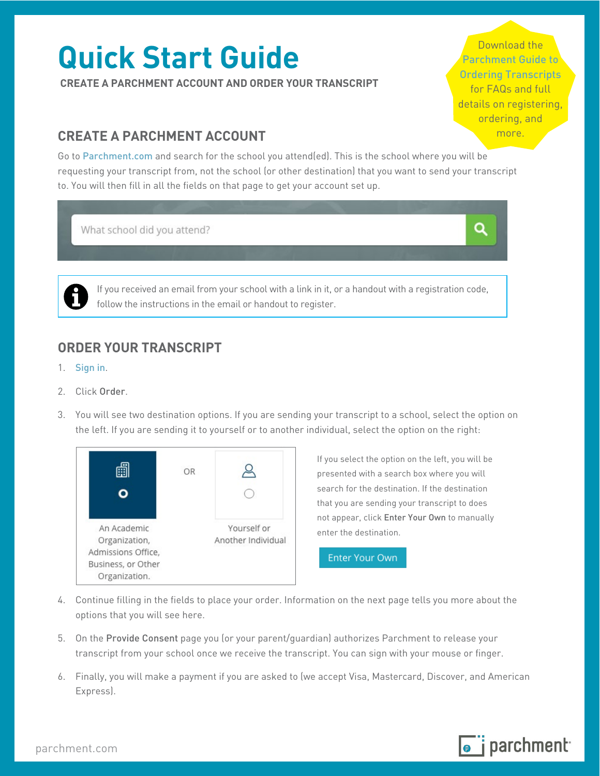# **Quick Start Guide**

**CREATE A PARCHMENT ACCOUNT AND ORDER YOUR TRANSCRIPT** 

Download the [Parchment Guide to](https://drive.google.com/file/d/0B8M-kYAsKiAkVlhUVnBSWTc2SU0/view?usp=sharing)  [Ordering Transcripts](https://drive.google.com/file/d/0B8M-kYAsKiAkVlhUVnBSWTc2SU0/view?usp=sharing)  for FAQs and full details on registering, ordering, and

## **CREATE A PARCHMENT ACCOUNT EXECUTE A PARCHMENT ACCOUNT**

Go to [Parchment.com](http://www.parchment.com/) and search for the school you attend(ed). This is the school where you will be requesting your transcript from, not the school (or other destination) that you want to send your transcript to. You will then fill in all the fields on that page to get your account set up.

What school did you attend?

Q

 follow the instructions in the email or handout to register. If you received an email from your school with a link in it, or a handout with a registration code,

## **ORDER YOUR TRANSCRIPT**

- 1. [Sign in](https://www.parchment.com/u/auth/login).
- 2. Click Order
- 3. You will see two destination options. If you are sending your transcript to a school, select the option on the left. If you are sending it to yourself or to another individual, select the option on the right:



If you select the option on the left, you will be presented with a search box where you will search for the destination. If the destination that you are sending your transcript to does not appear, click Enter Your Own to manually enter the destination.

**Enter Your Own** 

- 4. Continue filling in the fields to place your order. Information on the next page tells you more about the options that you will see here.
- 5. On the Provide Consent page you (or your parent/guardian) authorizes Parchment to release your transcript from your school once we receive the transcript. You can sign with your mouse or finger.
- 6. Finally, you will make a payment if you are asked to (we accept Visa, Mastercard, Discover, and American Express).